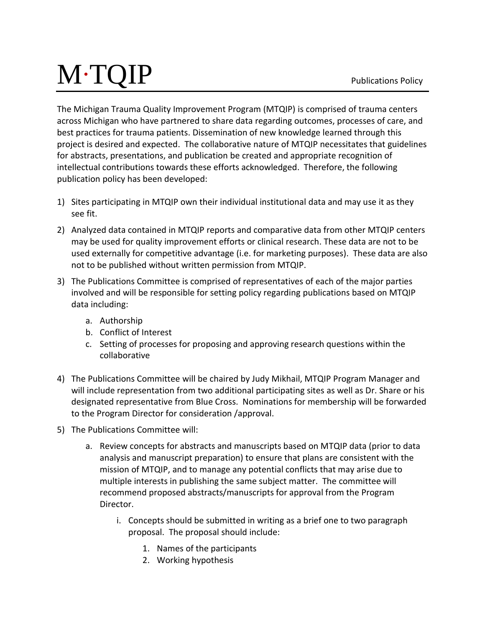## M∙TQIP

The Michigan Trauma Quality Improvement Program (MTQIP) is comprised of trauma centers across Michigan who have partnered to share data regarding outcomes, processes of care, and best practices for trauma patients. Dissemination of new knowledge learned through this project is desired and expected. The collaborative nature of MTQIP necessitates that guidelines for abstracts, presentations, and publication be created and appropriate recognition of intellectual contributions towards these efforts acknowledged. Therefore, the following publication policy has been developed:

- 1) Sites participating in MTQIP own their individual institutional data and may use it as they see fit.
- 2) Analyzed data contained in MTQIP reports and comparative data from other MTQIP centers may be used for quality improvement efforts or clinical research. These data are not to be used externally for competitive advantage (i.e. for marketing purposes). These data are also not to be published without written permission from MTQIP.
- 3) The Publications Committee is comprised of representatives of each of the major parties involved and will be responsible for setting policy regarding publications based on MTQIP data including:
	- a. Authorship
	- b. Conflict of Interest
	- c. Setting of processes for proposing and approving research questions within the collaborative
- 4) The Publications Committee will be chaired by Judy Mikhail, MTQIP Program Manager and will include representation from two additional participating sites as well as Dr. Share or his designated representative from Blue Cross. Nominations for membership will be forwarded to the Program Director for consideration /approval.
- 5) The Publications Committee will:
	- a. Review concepts for abstracts and manuscripts based on MTQIP data (prior to data analysis and manuscript preparation) to ensure that plans are consistent with the mission of MTQIP, and to manage any potential conflicts that may arise due to multiple interests in publishing the same subject matter. The committee will recommend proposed abstracts/manuscripts for approval from the Program Director.
		- i. Concepts should be submitted in writing as a brief one to two paragraph proposal. The proposal should include:
			- 1. Names of the participants
			- 2. Working hypothesis